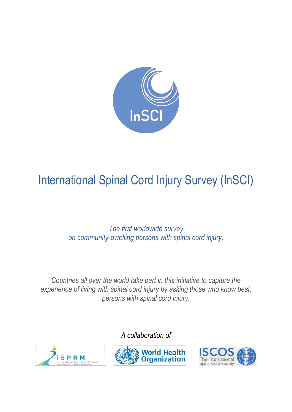

# International Spinal Cord Injury Survey (InSCI)

*The first worldwide survey on community-dwelling persons with spinal cord injury.*

*Countries all over the world take part in this initiative to capture the experience of living with spinal cord injury by asking those who know best: persons with spinal cord injury.*



*A collaboration of*



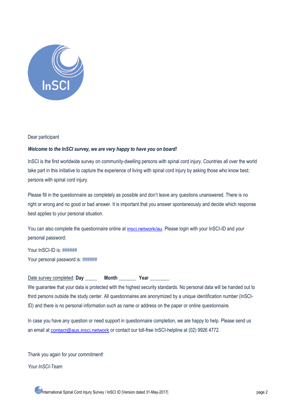

### Dear participant

### *Welcome to the InSCI survey, we are very happy to have you on board!*

InSCI is the first worldwide survey on community-dwelling persons with spinal cord injury. Countries all over the world take part in this initiative to capture the experience of living with spinal cord injury by asking those who know best: persons with spinal cord injury.

Please fill in the questionnaire as completely as possible and don't leave any questions unanswered. There is no right or wrong and no good or bad answer. It is important that you answer spontaneously and decide which response best applies to your personal situation.

You can also complete the questionnaire online at [insci.network/au](https://insci.network/insci/T1/au/welcome.php). Please login with your InSCI-ID and your personal password:

Your InSCI-ID is: ###### Your personal password is: ######

| Date survey completed: Day | <b>Month</b> | Year |  |
|----------------------------|--------------|------|--|
|----------------------------|--------------|------|--|

We guarantee that your data is protected with the highest security standards. No personal data will be handed out to third persons outside the study center. All questionnaires are anonymized by a unique identification number (InSCI-ID) and there is no personal information such as name or address on the paper or online questionnaire.

In case you have any question or need support in questionnaire completion, we are happy to help. Please send us an email at [contact@aus.insci.network](mailto:contact@aus.insci.network) or contact our toll-free InSCI-helpline at (02) 9926 4772.

Thank you again for your commitment!

*Your InSCI-Team*

International Spinal Cord Injury Survey / InSCI ID |Version dated 31-May-2017| page 2 page 2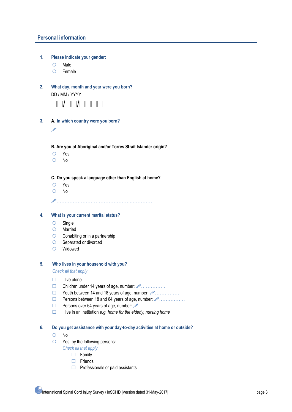### **Personal information**

- **1. Please indicate your gender:**
	- O Male
	- Female
- **2. What day, month and year were you born?**

DD / MM / YYYY



**3. A. In which country were you born?**

………………………………………..…………

**B. Are you of Aboriginal and/or Torres Strait Islander origin?**

- Yes
- O No

**C. Do you speak a language other than English at home?**

- Yes
- $O$  No

………………………………………..…………

### **4. What is your current marital status?**

- $O$  Single
- Married
- $\circ$  Cohabiting or in a partnership
- O Separated or divorced
- Widowed

### **5. Who lives in your household with you?**

*Check all that apply*

- $\Box$  I live alone
- Children under 14 years of age, number:  $\mathscr{P}$  ..............
- $\Box$  Youth between 14 and 18 years of age, number:  $\mathscr{P}$ .................
- Persons between 18 and 64 years of age, number: …………….
- Persons over 64 years of age, number: …………….
- I live in an institution *e.g. home for the elderly, nursing home*
- **6. Do you get assistance with your day-to-day activities at home or outside?**
	- $O$  No
	- $\circ$  Yes, by the following persons:
		- *Check all that apply*
			- $\Box$  Family
			- $\Box$  Friends
			- $\Box$  Professionals or paid assistants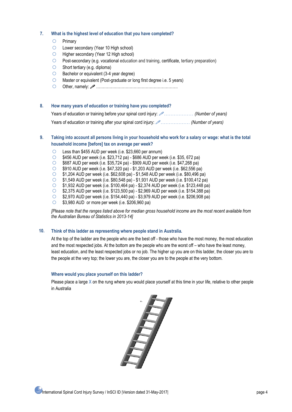### **7. What is the highest level of education that you have completed?**

- O Primary
- O Lower secondary (Year 10 High school)
- **C** Higher secondary (Year 12 High school)
- Post-secondary (e.g. vocational education and training, certificate, tertiary preparation)
- $\circ$  Short tertiary (e.g. diploma)
- $\bigcirc$  Bachelor or equivalent (3-4 year degree)
- Master or equivalent (Post-graduate or long first degree i.e. 5 years)
- Other, namely: …………………………………………………….

### **8. How many years of education or training have you completed?**

Years of education or training before your spinal cord injury: ……………… *(Number of years)*

Years of education or training after your spinal cord injury: ……………… *(Number of years)*

### **9. Taking into account all persons living in your household who work for a salary or wage: what is the total household income [before] tax on average per week?**

- Less than \$455 AUD per week (i.e. \$23,660 per annum)
- \$456 AUD per week (i.e. \$23,712 pa) \$686 AUD per week (i.e. \$35, 672 pa)
- $\degree$  \$687 AUD per week (i.e. \$35,724 pa) \$909 AUD per week (i.e. \$47,268 pa)
- \$910 AUD per week (i.e. \$47,320 pa) \$1,203 AUD per week (i.e. \$62,556 pa)
- \$1,204 AUD per week (i.e. \$62,608 pa) \$1,548 AUD per week (i.e. \$80,496 pa)
- \$1,549 AUD per week (i.e. \$80,548 pa) \$1,931 AUD per week (i.e. \$100,412 pa)
- \$1,932 AUD per week (i.e. \$100,464 pa) \$2,374 AUD per week (i.e. \$123,448 pa)
- \$2,375 AUD per week (i.e. \$123,500 pa) \$2,969 AUD per week (i.e. \$154,388 pa)
- \$2,970 AUD per week (i.e. \$154,440 pa) \$3,979 AUD per week (i.e. \$206,908 pa)
- $\circ$  \$3,980 AUD or more per week (i.e. \$206,960 pa)

*[Please note that the ranges listed above for median gross household income are the most recent available from the Australian Bureau of Statistics in 2013-14]*

### **10. Think of this ladder as representing where people stand in Australia***.*

At the top of the ladder are the people who are the best off - those who have the most money, the most education and the most respected jobs. At the bottom are the people who are the worst off – who have the least money, least education, and the least respected jobs or no job. The higher up you are on this ladder, the closer you are to the people at the very top; the lower you are, the closer you are to the people at the very bottom.

### **Where would you place yourself on this ladder?**

Please place a large **X** on the rung where you would place yourself at this time in your life, relative to other people in Australia

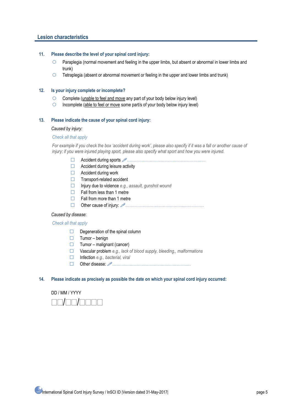### **Lesion characteristics**

#### **11. Please describe the level of your spinal cord injury:**

- Paraplegia (normal movement and feeling in the upper limbs, but absent or abnormal in lower limbs and trunk)
- $\circ$  Tetraplegia (absent or abnormal movement or feeling in the upper and lower limbs and trunk)

### **12. Is your injury complete or incomplete?**

- $\circ$  Complete (unable to feel and move any part of your body below injury level)
- $\circ$  Incomplete (able to feel or move some part/s of your body below injury level)

### **13. Please indicate the cause of your spinal cord injury:**

#### *Caused by injury:*

#### *Check all that apply*

*For example if you check the box 'accident during work', please also specify if it was a fall or another cause of injury; if you were injured playing sport, please also specify what sport and how you were injured.*

- Accident during sports ……………………………………..……………
- $\Box$  Accident during leisure activity
- □ Accident during work
- □ Transport-related accident
- Injury due to violence *e.g., assault, gunshot wound*
- $\Box$  Fall from less than 1 metre
- $\Box$  Fall from more than 1 metre
- Other cause of injury: ……………………………………..……………

#### *Caused by disease*:

### *Check all that apply*

- $\Box$  Degeneration of the spinal column
- $\Box$  Tumor benign
- $\Box$  Tumor malignant (cancer)
- Vascular problem *e.g., lack of blood supply, bleeding,, malformations*
- Infection *e.g., bacterial, viral*
- Other disease: ………………………………………………..…

#### **14. Please indicate as precisely as possible the date on which your spinal cord injury occurred:**

### DD / MM / YYYY

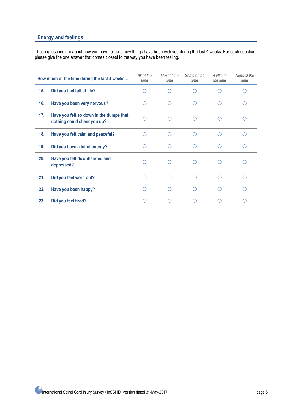### **Energy and feelings**

These questions are about how you have felt and how things have been with you during the last 4 weeks. For each question, please give the one answer that comes closest to the way you have been feeling.

|     | How much of the time during the last 4 weeks                           | All of the<br>time | Most of the<br>time | Some of the<br>time | A little of<br>the time | None of the<br>time |
|-----|------------------------------------------------------------------------|--------------------|---------------------|---------------------|-------------------------|---------------------|
| 15. | Did you feel full of life?                                             |                    |                     |                     |                         |                     |
| 16. | Have you been very nervous?                                            |                    |                     | ∩                   | ◯                       |                     |
| 17. | Have you felt so down in the dumps that<br>nothing could cheer you up? | ∩                  |                     |                     |                         |                     |
| 18. | Have you felt calm and peaceful?                                       |                    |                     | ∩                   | ∩                       | ∩                   |
| 19. | Did you have a lot of energy?                                          |                    |                     |                     |                         |                     |
| 20. | Have you felt downhearted and<br>depressed?                            |                    |                     |                     |                         |                     |
| 21. | Did you feel worn out?                                                 | ( )                |                     | ∩                   | ∩                       | ∩                   |
| 22. | Have you been happy?                                                   |                    |                     |                     | ∩                       |                     |
| 23. | Did you feel tired?                                                    |                    |                     |                     |                         |                     |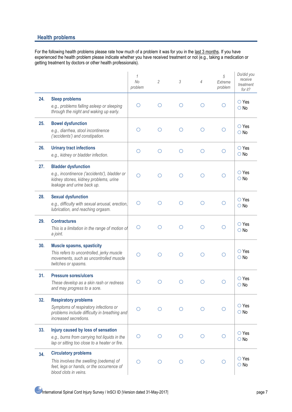### **Health problems**

For the following health problems please rate how much of a problem it was for you in the last 3 months. If you have experienced the health problem please indicate whether you have received treatment or not (e.g., taking a medication or getting treatment by doctors or other health professionals).

|     |                                                                                                                                                   | 1<br><b>No</b><br>problem | 2          | $\mathfrak{Z}$ | 4       | 5<br>Extreme<br>problem | Do/did you<br>receive<br>treatment<br>for it? |
|-----|---------------------------------------------------------------------------------------------------------------------------------------------------|---------------------------|------------|----------------|---------|-------------------------|-----------------------------------------------|
| 24. | <b>Sleep problems</b><br>e.g., problems falling asleep or sleeping<br>through the night and waking up early.                                      | ∩                         | ∩          | $\bigcirc$     | $\circ$ | O                       | $\bigcirc$ Yes<br>$\bigcirc$ No               |
| 25. | <b>Bowel dysfunction</b><br>e.g., diarrhea, stool incontinence<br>('accidents') and constipation.                                                 | Ω                         | O          | $\circ$        | $\circ$ | Ο                       | $\bigcirc$ Yes<br>$\bigcirc$ No               |
| 26. | <b>Urinary tract infections</b><br>e.g., kidney or bladder infection.                                                                             | $\circ$                   | $\circ$    | $\circ$        | $\circ$ | $\circ$                 | $\bigcirc$ Yes<br>$\bigcirc$ No               |
| 27. | <b>Bladder dysfunction</b><br>e.g., incontinence ('accidents'), bladder or<br>kidney stones, kidney problems, urine<br>leakage and urine back up. | ◯                         | Ω          | Ω              | O       | O                       | $\bigcirc$ Yes<br>$\bigcirc$ No               |
| 28. | <b>Sexual dysfunction</b><br>e.g., difficulty with sexual arousal, erection,<br>lubrication, and reaching orgasm.                                 | Ω                         | O          | O              | $\circ$ | O                       | $\bigcirc$ Yes<br>$\bigcirc$ No               |
| 29. | <b>Contractures</b><br>This is a limitation in the range of motion of<br>a joint.                                                                 | Ω                         | O          | O              | $\circ$ | O                       | $\bigcirc$ Yes<br>$\bigcirc$ No               |
| 30. | <b>Muscle spasms, spasticity</b><br>This refers to uncontrolled, jerky muscle<br>movements, such as uncontrolled muscle<br>twitches or spasms.    | Ω                         | O          | O              | O       | ◯                       | $\bigcirc$ Yes<br>$\bigcirc$ No               |
| 31. | <b>Pressure sores/ulcers</b><br>These develop as a skin rash or redness<br>and may progress to a sore.                                            | ◯                         | Ω          | O              | Ω       | Ο                       | $\bigcirc$ Yes<br>$\bigcirc$ No               |
| 32. | <b>Respiratory problems</b><br>Symptoms of respiratory infections or<br>problems include difficulty in breathing and<br>increased secretions.     | ◯                         | ∩          | O              | $\circ$ |                         | $\bigcirc$ Yes<br>$\bigcirc$ No               |
| 33. | Injury caused by loss of sensation<br>e.g., burns from carrying hot liquids in the<br>lap or sitting too close to a heater or fire.               | O                         | $\bigcirc$ | $\circ$        | O       | O                       | $\bigcirc$ Yes<br>$\bigcirc$ No               |
| 34. | <b>Circulatory problems</b><br>This involves the swelling (oedema) of<br>feet, legs or hands, or the occurrence of<br>blood clots in veins.       | ∩                         | O          | O              | ◯       | $\circ$                 | $\bigcirc$ Yes<br>$\bigcirc$ No               |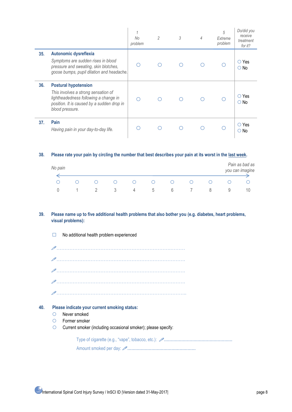|     |                                                                                                                                                                              | 1<br>No<br>problem | $\overline{2}$ | 3 | 4 | 5<br>Extreme<br>problem | Do/did you<br>receive<br>treatment<br>for it? |
|-----|------------------------------------------------------------------------------------------------------------------------------------------------------------------------------|--------------------|----------------|---|---|-------------------------|-----------------------------------------------|
| 35. | Autonomic dysreflexia<br>Symptoms are sudden rises in blood<br>pressure and sweating, skin blotches,<br>goose bumps, pupil dilation and headache.                            |                    |                |   |   |                         | $\circ$ Yes<br>○ No                           |
| 36. | <b>Postural hypotension</b><br>This involves a strong sensation of<br>lightheadedness following a change in<br>position. It is caused by a sudden drop in<br>blood pressure. |                    |                |   |   |                         | $\circlearrowright$ Yes<br>$\circ$ No         |
| 37. | Pain<br>Having pain in your day-to-day life.                                                                                                                                 |                    |                |   |   |                         | $\circ$ Yes<br>.No<br>O                       |

### **38. Please rate your pain by circling the number that best describes your pain at its worst in the last week.**

| No pain |  |   |   |   |   |   | Pain as bad as<br>you can imagine |
|---------|--|---|---|---|---|---|-----------------------------------|
|         |  |   |   |   |   |   |                                   |
|         |  |   |   |   |   |   |                                   |
|         |  | 4 | b | b | ŏ | ч | 10                                |

### **39. Please name up to five additional health problems that also bother you (e.g. diabetes, heart problems, visual problems):**

…………………………………………………………….……… ……………………………………………………………………. ……………………………………………………………………. ……………………………………………………………………. ……………………………………………………………………..

### **40. Please indicate your current smoking status:**

 $\Box$  No additional health problem experienced

- O Never smoked
- Former smoker
- Current smoker (including occasional smoker); please specify:

Type of cigarette (e.g., "vape", tobacco, etc.): **……………………………………………** Amount smoked per day: **……………………………………………**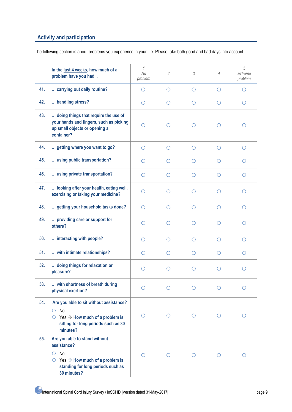### **Activity and participation**

The following section is about problems you experience in your life. Please take both good and bad days into account.

|     | In the last 4 weeks, how much of a<br>problem have you had                                                                                                              | 1<br>No<br>problem | $\overline{2}$ | 3          | $\overline{4}$ | 5<br>Extreme<br>problem |
|-----|-------------------------------------------------------------------------------------------------------------------------------------------------------------------------|--------------------|----------------|------------|----------------|-------------------------|
| 41. | carrying out daily routine?                                                                                                                                             | O                  | O              | O          | O              | O                       |
| 42. | handling stress?                                                                                                                                                        | O                  | O              | O          | O              | O                       |
| 43. | doing things that require the use of<br>your hands and fingers, such as picking<br>up small objects or opening a<br>container?                                          | O                  | ◯              | O          | O              | O                       |
| 44. | getting where you want to go?                                                                                                                                           | O                  | ◯              | ◯          | Ω              | $\circ$                 |
| 45. | using public transportation?                                                                                                                                            | O                  | ◯              | O          | O              | O                       |
| 46. | using private transportation?                                                                                                                                           | $\circ$            | ∩              | O          | ◯              | Ω                       |
| 47. | looking after your health, eating well,<br>exercising or taking your medicine?                                                                                          | O                  | ∩              | $\bigcirc$ | Ω              | O                       |
| 48. | getting your household tasks done?                                                                                                                                      | O                  | $\bigcirc$     | O          | Ο              | O                       |
| 49. | providing care or support for<br>others?                                                                                                                                | ∩                  | ◯              | ∩          | ◯              | Ω                       |
| 50. | interacting with people?                                                                                                                                                | $\circ$            | ∩              | ◯          | Ω              | ∩                       |
| 51. | with intimate relationships?                                                                                                                                            | O                  | O              | O          | Ο              | O                       |
| 52. | doing things for relaxation or<br>pleasure?                                                                                                                             | O                  | ∩              | O          | Ω              | Ω                       |
| 53. | with shortness of breath during<br>physical exertion?                                                                                                                   | $\circ$            | Ω              | $\circ$    | O              | Ω                       |
| 54. | Are you able to sit without assistance?<br>No<br>O<br>$\circ$ Yes $\rightarrow$ How much of a problem is<br>sitting for long periods such as 30<br>minutes?             | O                  | O              | O          | O              | $\circ$                 |
| 55. | Are you able to stand without<br>assistance?<br>No<br>$\circ$<br>$\circ$ Yes $\rightarrow$ How much of a problem is<br>standing for long periods such as<br>30 minutes? | O                  | O              | O          | O              | O                       |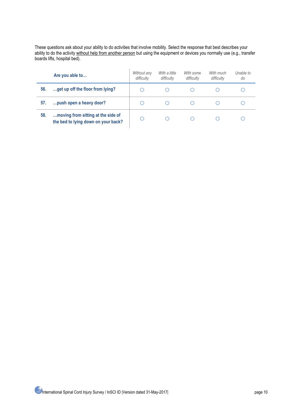These questions ask about your ability to do activities that involve mobility. Select the response that best describes your ability to do the activity without help from another person but using the equipment or devices you normally use (e.g., transfer boards lifts, hospital bed).

|     | Are you able to                                                           | Without any<br>difficulty | With a little<br>difficulty | With some<br>difficulty | With much<br>difficulty | Unable to<br>do |
|-----|---------------------------------------------------------------------------|---------------------------|-----------------------------|-------------------------|-------------------------|-----------------|
| 56. | get up off the floor from lying?                                          |                           |                             |                         |                         |                 |
| 57. | push open a heavy door?                                                   |                           |                             |                         |                         |                 |
| 58. | moving from sitting at the side of<br>the bed to lying down on your back? |                           |                             |                         |                         |                 |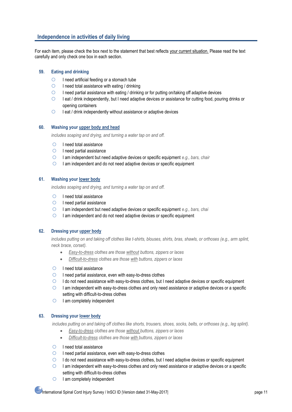### **Independence in activities of daily living**

For each item, please check the box next to the statement that best reflects your current situation. Please read the text carefully and only check one box in each section.

### **59. Eating and drinking**

- $\bigcirc$  I need artificial feeding or a stomach tube
- $\circ$  I need total assistance with eating / drinking
- $\bigcirc$  I need partial assistance with eating / drinking or for putting on/taking off adaptive devices
- O I eat / drink independently, but I need adaptive devices or assistance for cutting food, pouring drinks or opening containers
- $\circ$  I eat / drink independently without assistance or adaptive devices

### **60. Washing your upper body and head**

*includes soaping and drying, and turning a water tap on and off.*

- $\bigcirc$  I need total assistance
- $\circ$  I need partial assistance
- I am independent but need adaptive devices or specific equipment *e.g., bars, chair*
- $\circ$  I am independent and do not need adaptive devices or specific equipment

### **61. Washing your lower body**

*includes soaping and drying, and turning a water tap on and off.*

- $\bigcirc$  I need total assistance
- $\circ$  I need partial assistance
- I am independent but need adaptive devices or specific equipment *e.g., bars, chai*
- $\circ$  I am independent and do not need adaptive devices or specific equipment

### **62. Dressing your upper body**

*includes putting on and taking off clothes like t-shirts, blouses, shirts, bras, shawls, or orthoses (e.g., arm splint, neck brace, corset).*

- *Easy-to-dress clothes are those without buttons, zippers or laces*
- *Difficult-to-dress clothes are those with buttons, zippers or laces*
- $\bigcirc$  I need total assistance
- $\circ$  I need partial assistance, even with easy-to-dress clothes
- $\circ$  I do not need assistance with easy-to-dress clothes, but I need adaptive devices or specific equipment
- $\circ$  I am independent with easy-to-dress clothes and only need assistance or adaptive devices or a specific setting with difficult-to-dress clothes
- $\circ$  I am completely independent

### **63. Dressing your lower body**

*includes putting on and taking off clothes like shorts, trousers, shoes, socks, belts, or orthoses (e.g., leg splint).*

- *Easy-to-dress clothes are those without buttons, zippers or laces*
- *Difficult-to-dress clothes are those with buttons, zippers or laces*

### $\circ$  I need total assistance

- $\circ$  I need partial assistance, even with easy-to-dress clothes
- $\circ$  I do not need assistance with easy-to-dress clothes, but I need adaptive devices or specific equipment
- $\circ$  I am independent with easy-to-dress clothes and only need assistance or adaptive devices or a specific setting with difficult-to-dress clothes
- $\circ$  I am completely independent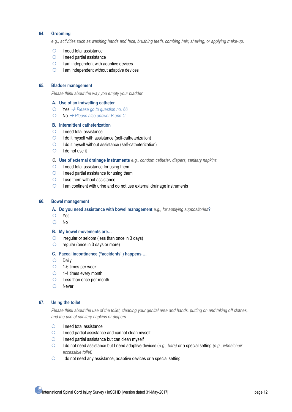### **64. Grooming**

*e.g., activities such as washing hands and face, brushing teeth, combing hair, shaving, or applying make-up.* 

- $\bigcirc$  I need total assistance
- $\circ$  I need partial assistance
- $\bigcirc$  I am independent with adaptive devices
- $\bigcirc$  I am independent without adaptive devices

### **65. Bladder management**

*Please think about the way you empty your bladder.*

#### **A. Use of an indwelling catheter**

- Yes *Please go to question no. 66*
- No *Please also answer B and C.*

#### **B. Intermittent catheterization**

- $\circ$  I need total assistance
- $\bigcirc$  I do it myself with assistance (self-catheterization)
- $\bigcirc$  I do it myself without assistance (self-catheterization)
- $O$  I do not use it

### *C.* **Use of external drainage instruments** *e.g., condom catheter, diapers, sanitary napkins*

- $\bigcirc$  I need total assistance for using them
- $\circ$  I need partial assistance for using them
- $\circ$  I use them without assistance
- $\circ$  I am continent with urine and do not use external drainage instruments

#### **66. Bowel management**

- **A. Do you need assistance with bowel management** *e.g., for applying suppositories***?**
- Yes
- O No

#### **B. My bowel movements are…**

- $\circ$  irregular or seldom (less than once in 3 days)
- $\circ$  regular (once in 3 days or more)

#### **C. Faecal incontinence ("accidents") happens …**

- $O$  Daily
- $\circ$  1-6 times per week
- 1-4 times every month
- Less than once per month
- O Never

### **67. Using the toilet**

*Please think about the use of the toilet, cleaning your genital area and hands, putting on and taking off clothes, and the use of sanitary napkins or diapers.*

- $\bigcirc$  I need total assistance
- $\circ$  I need partial assistance and cannot clean myself
- $\circ$  I need partial assistance but can clean myself
- I do not need assistance but I need adaptive devices (*e.g., bars)* or a special setting *(e.g., wheelchair accessible toilet)*
- $\circ$  I do not need any assistance, adaptive devices or a special setting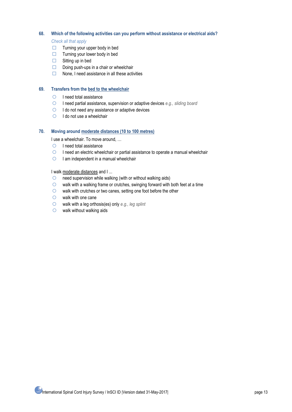### **68. Which of the following activities can you perform without assistance or electrical aids?**

*Check all that apply* 

- $\Box$  Turning your upper body in bed
- $\Box$  Turning your lower body in bed
- $\Box$  Sitting up in bed
- $\Box$  Doing push-ups in a chair or wheelchair
- $\Box$  None, I need assistance in all these activities

### **69. Transfers from the bed to the wheelchair**

- $\bigcirc$  I need total assistance
- I need partial assistance, supervision or adaptive devices *e.g., sliding board*
- $\circ$  I do not need any assistance or adaptive devices
- $\bigcirc$  I do not use a wheelchair

### **70. Moving around moderate distances (10 to 100 metres)**

I use a wheelchair. To move around, ...

- $\bigcirc$  I need total assistance
- $\circ$  I need an electric wheelchair or partial assistance to operate a manual wheelchair
- $\circ$  I am independent in a manual wheelchair

### I walk moderate distances and I ...

- $\circ$  need supervision while walking (with or without walking aids)
- $\circ$  walk with a walking frame or crutches, swinging forward with both feet at a time
- walk with crutches or two canes, setting one foot before the other
- $\circ$  walk with one cane
- walk with a leg orthosis(es) only *e.g., leg splint*
- $\circ$  walk without walking aids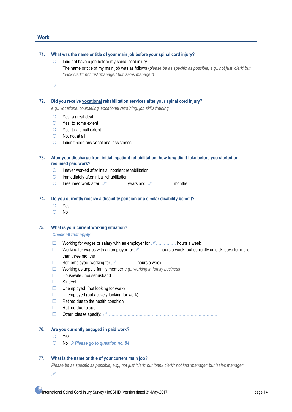### **Work**

#### **71. What was the name or title of your main job before your spinal cord injury?**

- $\bigcirc$  I did not have a job before my spinal cord injury. The name or title of my main job was as follows (*please be as specific as possible, e.g., not just 'clerk' but 'bank clerk'; not just 'manager' but 'sales manager')*
- …………………………………………………………………………………………………………….

#### **72. Did you receive vocational rehabilitation services after your spinal cord injury?**

*e.g., vocational counseling, vocational retraining, job skills training*

- $O$  Yes, a great deal
- Yes, to some extent
- Yes, to a small extent
- No, not at all
- $\bigcirc$  I didn't need any vocational assistance
- **73. After your discharge from initial inpatient rehabilitation, how long did it take before you started or resumed paid work?**
	- $\circ$  I never worked after initial inpatient rehabilitation
	- $\bigcirc$  Immediately after initial rehabilitation
	- I resumed work after …………… years and …………… months

#### **74. Do you currently receive a disability pension or a similar disability benefit?**

- Yes
- O No

### **75. What is your current working situation?**

#### *Check all that apply*

- $\Box$  Working for wages or salary with an employer for  $\mathcal{P}$ ................ hours a week
- Working for wages with an employer for  $\mathcal{P}$ ................ hours a week, but currently on sick leave for more than three months
- Self-employed, working for …………… hours a week
- Working as unpaid family member *e.g., working in family business*
- □ Housewife / househusband
- □ Student
- $\Box$  Unemployed (not looking for work)
- $\Box$  Unemployed (but actively looking for work)
- $\Box$  Retired due to the health condition
- $\Box$  Retired due to age
- Other, please specify: ……………………………………………………………………….

#### **76. Are you currently engaged in paid work?**

- Yes
- No *Please go to question no. 84*

### **77. What is the name or title of your current main job?**

*Please be as specific as possible, e.g., not just 'clerk' but 'bank clerk'; not just 'manager' but 'sales manager'*

……………………………………………………………………………………………………………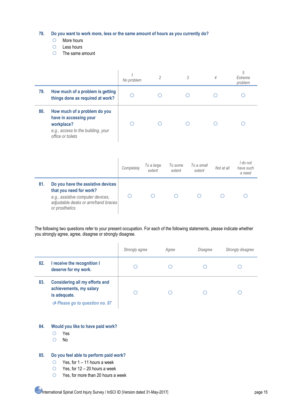**78. Do you want to work more, less or the same amount of hours as you currently do?**

- O More hours
- $O$  Less hours
- $O$  The same amount

|     |                                                                                                                                          | No problem | $\overline{2}$       |                   | 3                    | $\overline{4}$ | 5<br>Extreme<br>problem         |
|-----|------------------------------------------------------------------------------------------------------------------------------------------|------------|----------------------|-------------------|----------------------|----------------|---------------------------------|
| 79. | How much of a problem is getting<br>things done as required at work?                                                                     |            |                      |                   |                      |                |                                 |
| 80. | How much of a problem do you<br>have in accessing your<br>workplace?<br>e.g., access to the building, your<br>office or toilets          |            |                      |                   |                      |                |                                 |
|     |                                                                                                                                          | Completely | To a large<br>extent | To some<br>extent | To a small<br>extent | Not at all     | I do not<br>have such<br>a need |
| 81. | Do you have the assistive devices<br>that you need for work?<br>e.g., assistive computer devices,<br>adjustable desks or arm/hand braces |            |                      |                   |                      |                |                                 |

The following two questions refer to your present occupation. For each of the following statements, please indicate whether you strongly agree, agree, disagree or strongly disagree.

|     |                                                                                                                                | Strongly agree | Agree | Disagree | Strongly disagree |
|-----|--------------------------------------------------------------------------------------------------------------------------------|----------------|-------|----------|-------------------|
| 82. | I receive the recognition I<br>deserve for my work.                                                                            |                |       |          |                   |
| 83. | <b>Considering all my efforts and</b><br>achievements, my salary<br>is adequate.<br>$\rightarrow$ Please go to question no. 87 |                |       |          |                   |

### **84. Would you like to have paid work?**

Yes

*or prosthetics*

O No

### **85. Do you feel able to perform paid work?**

- $\circ$  Yes, for 1 11 hours a week
- $\circ$  Yes, for 12 20 hours a week
- Yes, for more than 20 hours a week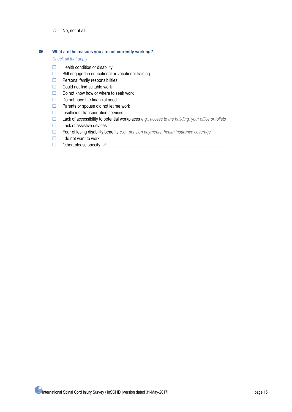No, not at all

#### **86. What are the reasons you are not currently working?**

*Check all that apply*

- $\Box$  Health condition or disability
- $\Box$  Still engaged in educational or vocational training
- $\Box$  Personal family responsibilities
- $\Box$  Could not find suitable work
- $\Box$  Do not know how or where to seek work
- $\Box$  Do not have the financial need
- $\Box$  Parents or spouse did not let me work
- $\Box$  Insufficient transportation services
- Lack of accessibility to potential workplaces *e.g., access to the building, your office or toilets*
- $\Box$  Lack of assistive devices
- Fear of losing disability benefits *e.g., pension payments, health insurance coverage*
- $\Box$  I do not want to work
- Other, please specify: ……………………………………………………………………………..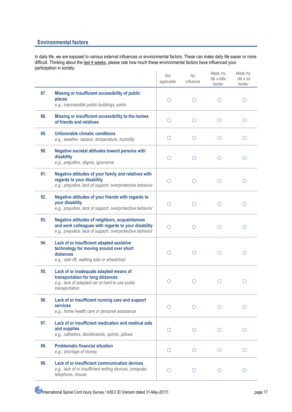### **Environmental factors**

In daily life, we are exposed to various external influences or environmental factors. These can make daily life easier or more difficult. Thinking about the last 4 weeks, please rate how much these environmental factors have influenced your participation in society.

|     |                                                                                                                                                                           | Not<br>applicable | <b>No</b><br>influence | Made my<br>life a little<br>harder | Made my<br>life a lot<br>harder |
|-----|---------------------------------------------------------------------------------------------------------------------------------------------------------------------------|-------------------|------------------------|------------------------------------|---------------------------------|
| 87. | Missing or insufficient accessibility of public<br>places<br>e.g., inaccessible public buildings, parks                                                                   | $\bigcirc$        | $\circ$                | O                                  | Ο                               |
| 88. | Missing or insufficient accessibility to the homes<br>of friends and relatives                                                                                            | O                 | $\circ$                | O                                  | О                               |
| 89. | Unfavorable climatic conditions<br>e.g., weather, season, temperature, humidity                                                                                           | O                 | O                      | O                                  | Ο                               |
| 90. | Negative societal attitudes toward persons with<br>disability<br>e.g., prejudice, stigma, ignorance                                                                       | O                 | $\circ$                | O                                  | $\circ$                         |
| 91. | Negative attitudes of your family and relatives with<br>regards to your disability<br>e.g., prejudice, lack of support, overprotective behavior                           | ∩                 | O                      | Ο                                  | Ω                               |
| 92. | Negative attitudes of your friends with regards to<br>your disability<br>e.g., prejudice, lack of support, overprotective behavior                                        | $\bigcirc$        | O                      | O                                  | Ω                               |
| 93. | <b>Negative attitudes of neighbors, acquaintances</b><br>and work colleagues with regards to your disability<br>e.g., prejudice, lack of support, overprotective behavior | ◯                 | $\circ$                | O                                  | $\circ$                         |
| 94. | Lack of or insufficient adapted assistive<br>technology for moving around over short<br>distances<br>e.g., stair lift, walking aids or wheelchair                         | O                 | O                      | Ω                                  | Ο                               |
| 95. | Lack of or inadequate adapted means of<br>transportation for long distances<br>e.g., lack of adapted car or hard to use public<br>transportation                          | Ω                 | O                      | O                                  | Ο                               |
| 96. | Lack of or insufficient nursing care and support<br>services<br>e.g., home health care or personal assistance                                                             | $\bigcirc$        | O                      | Ω                                  |                                 |
| 97. | Lack of or insufficient medication and medical aids<br>and supplies<br>e.g., catheters, disinfectants, splints, pillows                                                   | O                 | $\circ$                | Ω                                  | ∩                               |
| 98. | <b>Problematic financial situation</b><br>e.g., shortage of money                                                                                                         | O                 | $\circ$                | O                                  | O                               |
| 99. | Lack of or insufficient communication devices<br>e.g., lack of or insufficient writing devices, computer,<br>telephone, mouse                                             | O                 | $\circ$                | Ο                                  | Ω                               |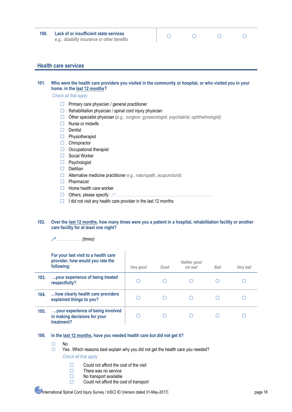**100. Lack of or insufficient state services** *e.g., disability insurance or other benefits*

| $\bigcirc$ | $\circ$ | $\circ$ | $\circ$ |
|------------|---------|---------|---------|
|            |         |         |         |

### **Health care services**

### **101. Who were the health care providers you visited in the community or hospital, or who visited you in your home, in the last 12 months?**

*Check all that apply*

- $\Box$  Primary care physician / general practitioner
- $\Box$  Rehabilitation physician / spinal cord injury physician
- Other specialist physician (*e.g., surgeon, gynaecologist, psychiatrist, ophthalmologist)*
- $\Box$  Nurse or midwife
- $\Box$  Dentist
- $\Box$  Physiotherapist
- $\Box$  Chiropractor
- $\Box$  Occupational therapist
- □ Social Worker
- □ Psychologist
- $\Box$  Dietitian
- Alternative medicine practitioner *e.g., naturopath, acupuncturist*
- $\Box$  Pharmacist
- $\Box$  Home health care worker
- Others, please specify: ………………………………………………………………
- $\Box$  I did not visit any health care provider in the last 12 months

### **102. Over the last 12 months, how many times were you a patient in a hospital, rehabilitation facility or another care facility for at least one night?**

…………… *(times)*

|      | For your last visit to a health care<br>provider, how would you rate the<br>following: | Very good | Good | Neither good<br>nor bad | Bad | Very bad |
|------|----------------------------------------------------------------------------------------|-----------|------|-------------------------|-----|----------|
| 103. | your experience of being treated<br>respectfully?                                      | O         |      |                         |     |          |
| 104. | how clearly health care providers<br>explained things to you?                          |           |      |                         |     |          |
| 105. | your experience of being involved<br>in making decisions for your<br>treatment?        |           |      |                         |     |          |

### **106. In the last 12 months, have you needed health care but did not get it?**

- $O$  No
- Yes. Which reasons best explain why you did not get the health care you needed?

### *Check all that apply*

- $\Box$  Could not afford the cost of the visit
- $\Box$  There was no service
- $\Box$  No transport available
- $\Box$  Could not afford the cost of transport

### International Spinal Cord Injury Survey / InSCI ID |Version dated 31-May-2017| page 18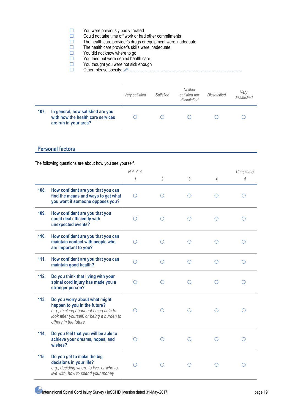- $\square$  You were previously badly treated<br> $\square$  Could not take time off work or had
- Could not take time off work or had other commitments<br>  $\square$  The health care provider's drugs or equipment were inar-
- $\Box$  The health care provider's drugs or equipment were inadequate  $\Box$  The health care provider's skills were inadequate
- $\Box$  The health care provider's skills were inadequate  $\Box$  You did not know where to go
- $\square$  You did not know where to go You tried but were denied heal
	- You tried but were denied health care
- $\square$  You thought you were not sick enough<br> $\square$  Other. please specify:  $\emptyset$ ..................
	- Other, please specify: ………………………………………………………………………….

|      |                                                                                                 | Very satisfied | Satisfied | Neither<br>satisfied nor<br>dissatisfied | Dissatisfied | Verv<br>dissatisfied |
|------|-------------------------------------------------------------------------------------------------|----------------|-----------|------------------------------------------|--------------|----------------------|
| 107. | In general, how satisfied are you<br>with how the health care services<br>are run in your area? |                |           |                                          |              |                      |

### **Personal factors**

The following questions are about how you see yourself.

|      |                                                                                                                                                                              | Not at all |                |            |                | Completely |
|------|------------------------------------------------------------------------------------------------------------------------------------------------------------------------------|------------|----------------|------------|----------------|------------|
|      |                                                                                                                                                                              | 1          | $\overline{2}$ | 3          | $\overline{4}$ | 5          |
| 108. | How confident are you that you can<br>find the means and ways to get what<br>you want if someone opposes you?                                                                | ∩          | ∩              | ∩          |                |            |
| 109. | How confident are you that you<br>could deal efficiently with<br>unexpected events?                                                                                          |            | ∩              | ∩          |                |            |
| 110. | How confident are you that you can<br>maintain contact with people who<br>are important to you?                                                                              | ∩          | ∩              | ∩          | ∩              | ∩          |
| 111. | How confident are you that you can<br>maintain good health?                                                                                                                  | $\bigcirc$ | $\circ$        | $\bigcirc$ | Ο              | Ω          |
| 112. | Do you think that living with your<br>spinal cord injury has made you a<br>stronger person?                                                                                  | Ω          | O              | ◯          | Ω              | ∩          |
| 113. | Do you worry about what might<br>happen to you in the future?<br>e.g., thinking about not being able to<br>look after yourself, or being a burden to<br>others in the future | ∩          | ∩              | ∩          | ◯              | ◯          |
| 114. | Do you feel that you will be able to<br>achieve your dreams, hopes, and<br>wishes?                                                                                           | ∩          | ∩              | ∩          | ∩              | ∩          |
| 115. | Do you get to make the big<br>decisions in your life?<br>e.g., deciding where to live, or who to<br>live with, how to spend your money                                       | ∩          | ∩              |            |                |            |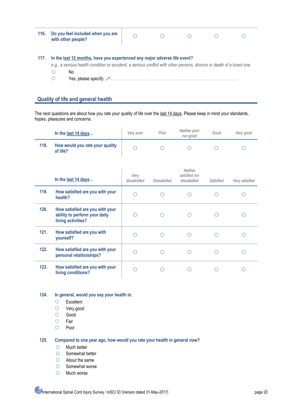| 116. | Do you feel included when you are<br>with other people?                                                                                                                                                   |  |  |  |
|------|-----------------------------------------------------------------------------------------------------------------------------------------------------------------------------------------------------------|--|--|--|
| 117. | In the last 12 months, have you experienced any major adverse life event?<br>e.g., a serious health condition or accident, a serious conflict with other persons, divorce or death of a loved one.<br>No. |  |  |  |

### **Quality of life and general health**

The next questions are about how you rate your quality of life over the last 14 days. Please keep in mind your standards, hopes, pleasures and concerns.

|      | In the last 14 days                         | Very poor | Poor | Neither poor<br>nor good | Good | Very good |
|------|---------------------------------------------|-----------|------|--------------------------|------|-----------|
| 118. | How would you rate your quality<br>of life? |           |      |                          |      |           |

|      | In the last 14 days                                                                    | Very<br>dissatisfied | Dissatisfied | Neither<br>satisfied nor<br>dissatisfied | Satisfied | Very satisfied |
|------|----------------------------------------------------------------------------------------|----------------------|--------------|------------------------------------------|-----------|----------------|
| 119. | How satisfied are you with your<br>health?                                             |                      |              |                                          |           |                |
| 120. | How satisfied are you with your<br>ability to perform your daily<br>living activities? |                      |              |                                          |           |                |
| 121. | How satisfied are you with<br>yourself?                                                |                      |              |                                          |           |                |
| 122. | How satisfied are you with your<br>personal relationships?                             |                      |              |                                          |           |                |
| 123. | How satisfied are you with your<br>living conditions?                                  |                      |              |                                          |           |                |

### **124. In general, would you say your health is:**

- Excellent
- Very good
- Good
- $O$  Fair
- O Poor

### **125. Compared to one year ago, how would you rate your health in general now?**

- $O$  Much better
- O Somewhat better
- About the same
- $O$  Somewhat worse
- O Much worse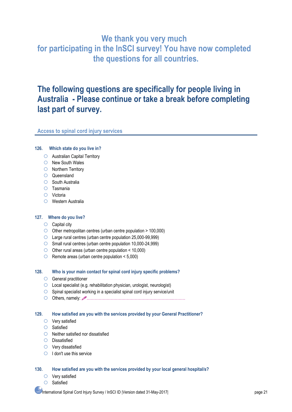# **We thank you very much for participating in the InSCI survey! You have now completed the questions for all countries.**

# **The following questions are specifically for people living in Australia - Please continue or take a break before completing last part of survey.**

### **Access to spinal cord injury services**

### **126. Which state do you live in?**

- Australian Capital Territory
- O New South Wales
- O Northern Territory
- Queensland
- O South Australia
- Tasmania
- Victoria
- Western Australia

### **127. Where do you live?**

- $\circ$  Capital city
- $\circ$  Other metropolitan centres (urban centre population  $> 100,000$ )
- Large rural centres (urban centre population 25,000-99,999)
- Small rural centres (urban centre population 10,000-24,999)
- $\circ$  Other rural areas (urban centre population < 10,000)
- $\circ$  Remote areas (urban centre population < 5,000)

### **128. Who is your main contact for spinal cord injury specific problems?**

- General practitioner
- Local specialist (e.g. rehabilitation physician, urologist, neurologist)
- $\circ$  Spinal specialist working in a specialist spinal cord injury service/unit
- Others, namely: ………………………………………………………..………

### **129. How satisfied are you with the services provided by your General Practitioner?**

- Very satisfied
- $O$  Satisfied
- $\bigcirc$  Neither satisfied nor dissatisfied
- $O$  Dissatisfied
- Very dissatisfied
- $\bigcirc$  I don't use this service

### **130. How satisfied are you with the services provided by your local general hospital/s?**

- $\circ$  Very satisfied
	- O Satisfied

International Spinal Cord Injury Survey / InSCI ID |Version dated 31-May-2017| page 21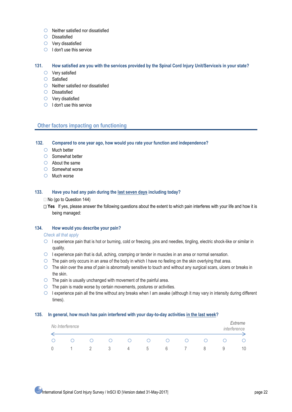- $\bigcirc$  Neither satisfied nor dissatisfied
- O Dissatisfied
- Very dissatisfied
- $\bigcirc$  I don't use this service

#### **131. How satisfied are you with the services provided by the Spinal Cord Injury Unit/Service/s in your state?**

- Very satisfied
- $\circ$  Satisfied
- $\bigcirc$  Neither satisfied nor dissatisfied
- O Dissatisfied
- Very disatisfied
- $\bigcirc$  I don't use this service

### **Other factors impacting on functioning**

**132. Compared to one year ago, how would you rate your function and independence?** 

- $O$  Much better
- $\bigcirc$  Somewhat better
- About the same
- Somewhat worse
- $O$  Much worse

#### **133. Have you had any pain during the last seven days including today?**

#### No (go to Question 144)

□ Yes If yes, please answer the following questions about the extent to which pain interferes with your life and how it is being managed:

### **134. How would you describe your pain?**

#### *Check all that apply*

- $\circ$  I experience pain that is hot or burning, cold or freezing, pins and needles, tingling, electric shock-like or similar in quality.
- $\circ$  I experience pain that is dull, aching, cramping or tender in muscles in an area or normal sensation.
- The pain only occurs in an area of the body in which I have no feeling on the skin overlying that area.
- $\circ$  The skin over the area of pain is abnormally sensitive to touch and without any surgical scars, ulcers or breaks in the skin.
- $\circ$  The pain is usually unchanged with movement of the painful area.
- $\circ$  The pain is made worse by certain movements, postures or activities.
- $\circ$  I experience pain all the time without any breaks when I am awake (although it may vary in intensity during different times).

#### **135. In general, how much has pain interfered with your day-to-day activities in the last week?**

| No Interference |  |          |   |   |                        |   | Extreme<br>interference |
|-----------------|--|----------|---|---|------------------------|---|-------------------------|
|                 |  | $^{(+)}$ | 0 |   | $\left( \quad \right)$ |   |                         |
|                 |  | $\Delta$ | b | b |                        | × | 10                      |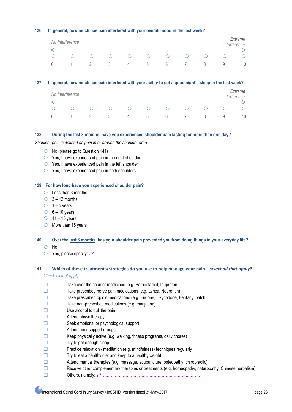### **136. In general, how much has pain interfered with your overall mood in the last week?**

| No Interference |     |                        |                        |          |                        |   |   | Extreme<br>interference |
|-----------------|-----|------------------------|------------------------|----------|------------------------|---|---|-------------------------|
|                 | ( ) | $\left( \quad \right)$ | $\left( \quad \right)$ | $^{(+)}$ | $\left( \quad \right)$ | 0 |   |                         |
|                 | ≺   | $\overline{a}$         | <sub>5</sub>           | b        |                        | ŏ | ч | 10                      |

### **137. In general, how much has pain interfered with your ability to get a good night's sleep in the last week?**

| No Interference |         |          |                        |                        |                        |     |   | Extreme<br>interference |
|-----------------|---------|----------|------------------------|------------------------|------------------------|-----|---|-------------------------|
|                 | $\Box$  | $^{(+)}$ | $\left( \quad \right)$ | $\left( \quad \right)$ | $\left( \quad \right)$ | ( ) |   |                         |
|                 | $\prec$ | 4        | <sub>5</sub>           | b                      |                        |     | ч | 10                      |

### **138. During the last 3 months, have you experienced shoulder pain lasting for more than one day?**

*Shoulder pain is defined as pain in or around the shoulder area.* 

- $\circ$  No (please go to Question 141)
- $\circ$  Yes, I have experienced pain in the right shoulder
- $\circ$  Yes, I have experienced pain in the left shoulder
- Yes, I have experienced pain in both shoulders

### **139. For how long have you experienced shoulder pain?**

- $\circ$  Less than 3 months
- $\bigcirc$  3 12 months
- $\circ$  1 5 years
- $\circ$  6 10 years
- $\circ$  11 15 years
- $\circ$  More than 15 years
- **140. Over the last 3 months, has your shoulder pain prevented you from doing things in your everyday life?**
	- O No
	- Yes, please specify: …………………………………………………………….………

### **141. Which of these treatments/strategies do you use to help manage your pain** *– select all that apply***?** *Check all that apply*

- 
- $\Box$  Take over the counter medicines (e.g. Paracetamol, Ibuprofen)
- $\Box$  Take prescribed nerve pain medications (e.g. Lyrica, Neurontin)
- Take prescribed opioid medications (e.g. Endone, Oxycodone, Fentanyl patch)
- $\Box$  Take non-prescribed medications (e.g. marijuana)
- $\square$  Use alcohol to dull the pain
- $\Box$  Attend physiotherapy
- Seek emotional or psychological support
- $\Box$  Attend peer support groups
- $\Box$  Keep physically active (e.g. walking, fitness programs, daily chores)
- $\Box$  Try to get enough sleep
- $\square$  Practice relaxation / meditation (e.g. mindfulness) techniques regularly
- $\Box$  Try to eat a healthy diet and keep to a healthy weight
- $\Box$  Attend manual therapies (e.g. massage, acupuncture, osteopathy, chiropractic)
- Receive other complementary therapies or treatments (e.g. homeopathy, naturopathy, Chinese herbalism)
- Others, namely: ………………………………………………………..………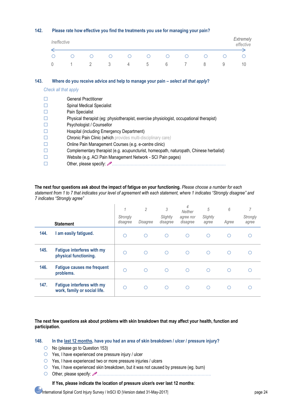### **142. Please rate how effective you find the treatments you use for managing your pain?**

| Ineffective |                        |                        |                        |        |                  |                        |                        |   | Extremely<br>effective |
|-------------|------------------------|------------------------|------------------------|--------|------------------|------------------------|------------------------|---|------------------------|
|             | $\left( \quad \right)$ | $\left( \quad \right)$ | $\left( \quad \right)$ | $\cup$ | $\left( \right)$ | $\left( \quad \right)$ | $\left( \quad \right)$ |   |                        |
|             |                        | - 3                    | 4                      | .5     | 6                |                        | ŏ                      | У | 10                     |

### **143. Where do you receive advice and help to manage your pain** *– select all that apply***?**

*Check all that apply* 

|   | <b>General Practitioner</b>                                                             |
|---|-----------------------------------------------------------------------------------------|
| Е | <b>Spinal Medical Specialist</b>                                                        |
| Е | Pain Specialist                                                                         |
| Е | Physical therapist (eg: physiotherapist, exercise physiologist, occupational therapist) |
| E | Psychologist / Counsellor                                                               |
| Е | Hospital (including Emergency Department)                                               |
| Г | Chronic Pain Clinic (which provides multi-disciplinary care)                            |
| O | Online Pain Management Courses (e.g. e-centre clinic)                                   |
| Г | Complementary therapist (e.g. acupuncturist, homeopath, naturopath, Chinese herbalist)  |
|   | Website (e.g. ACI Pain Management Network - SCI Pain pages)                             |
|   |                                                                                         |
|   |                                                                                         |

**The next four questions ask about the impact of fatigue on your functioning.** *Please choose a number for each statement from 1 to 7 that indicates your level of agreement with each statement, where 1 indicates "Strongly disagree" and 7 indicates "Strongly agree"*

|      | <b>Statement</b>                                                  | $\overline{1}$<br>Strongly<br>disagree | 2<br>Disagree | 3<br>Slightly<br>disagree | 4<br>Neither<br>agree nor<br>disagree | 5<br>Slightly<br>agree | 6<br>Agree | 7<br>Strongly<br>agree |
|------|-------------------------------------------------------------------|----------------------------------------|---------------|---------------------------|---------------------------------------|------------------------|------------|------------------------|
| 144. | I am easily fatigued.                                             | ∩                                      | ∩             | ∩                         | ∩                                     | ◯                      | ∩          |                        |
| 145. | <b>Fatigue interferes with my</b><br>physical functioning.        | ∩                                      | ∩             | ∩                         | ∩                                     | ∩                      | ∩          |                        |
| 146. | <b>Fatigue causes me frequent</b><br>problems.                    | ∩                                      | ∩             | ∩                         | ∩                                     | ◯                      | ∩          |                        |
| 147. | <b>Fatigue interferes with my</b><br>work, family or social life. | ∩                                      | ∩             | ∩                         | ∩                                     | ◯                      | ∩          |                        |

### **The next few questions ask about problems with skin breakdown that may affect your health, function and participation.**

**148. In the last 12 months, have you had an area of skin breakdown / ulcer / pressure injury?**

- $\circ$  No (please go to Question 153)
- Yes, I have experienced one pressure injury / ulcer
- Yes, I have experienced two or more pressure injuries / ulcers
- Yes, I have experienced skin breakdown, but it was not caused by pressure (eg. burn)
- Other, please specify: ………………………………………………………………………….

### **If Yes, please indicate the location of pressure ulcer/s over last 12 months**:

International Spinal Cord Injury Survey / InSCI ID |Version dated 31-May-2017| page 24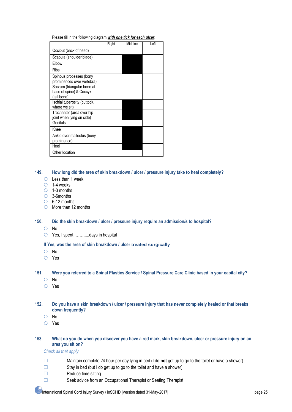Please fill in the following diagram *with one tick for each ulcer*:

|                                                                      | Right | Mid-line | Left |
|----------------------------------------------------------------------|-------|----------|------|
| Occiput (back of head)                                               |       |          |      |
| Scapula (shoulder blade)                                             |       |          |      |
| Elbow                                                                |       |          |      |
| <b>Ribs</b>                                                          |       |          |      |
| Spinous processes (bony<br>prominences over vertebra)                |       |          |      |
| Sacrum (triangular bone at<br>base of spine) & Coccyx<br>(tail bone) |       |          |      |
| Ischial tuberosity (buttock,<br>where we sit)                        |       |          |      |
| Trochanter (area over hip<br>joint when lying on side)               |       |          |      |
| Genitals                                                             |       |          |      |
| Knee                                                                 |       |          |      |
| Ankle over malleolus (bony<br>prominence)                            |       |          |      |
| Heel                                                                 |       |          |      |
| Other location                                                       |       |          |      |

### **149. How long did the area of skin breakdown / ulcer / pressure injury take to heal completely?**

- Less than 1 week
- $O$  1-4 weeks
- $\circ$  1-3 months
- 3-6months
- $\circ$  6-12 months
- $\circ$  More than 12 months

### **150. Did the skin breakdown / ulcer / pressure injury require an admission/s to hospital?**

- O No
- Yes, I spent …………days in hospital

### **If Yes, was the area of skin breakdown / ulcer treated surgically**

- O No
- Yes

### **151. Were you referred to a Spinal Plastics Service / Spinal Pressure Care Clinic based in your capital city?**

- O No
- Yes

### **152. Do you have a skin breakdown / ulcer / pressure injury that has never completely healed or that breaks down frequently?**

- O No
- Yes

### **153. What do you do when you discover you have a red mark, skin breakdown, ulcer or pressure injury on an area you sit on?**

### *Check all that apply*

- Maintain complete 24 hour per day lying in bed (I do **not** get up to go to the toilet or have a shower)
- $\Box$  Stay in bed (but I do get up to go to the toilet and have a shower)
- $\Box$  Reduce time sitting
- □ Seek advice from an Occupational Therapist or Seating Therapist

International Spinal Cord Injury Survey / InSCI ID |Version dated 31-May-2017| page 25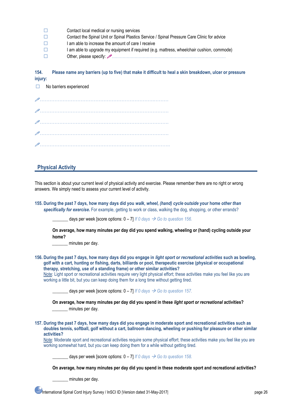| $\pm$        | Contact local medical or nursing services                                                   |
|--------------|---------------------------------------------------------------------------------------------|
| $\mathbf{L}$ | Contact the Spinal Unit or Spinal Plastics Service / Spinal Pressure Care Clinic for advice |
| $\pm$        | I am able to increase the amount of care I receive                                          |
| $\pm$        | I am able to upgrade my equipment if required (e.g. mattress, wheelchair cushion, commode)  |
| $\mathbf{1}$ |                                                                                             |

**154. Please name any barriers (up to five) that make it difficult to heal a skin breakdown, ulcer or pressure injury:**

| $\Box$ No barriers experienced |
|--------------------------------|
|                                |
|                                |
|                                |
|                                |
|                                |

### **Physical Activity**

This section is about your current level of physical activity and exercise. Please remember there are no right or wrong answers. We simply need to assess your current level of activity.

**155. During the past 7 days, how many days did you** *walk***,** *wheel, (hand) cycle* **ou***tside* **your home** *other than specifically for exercise***.** For example, getting to work or class, walking the dog, shopping, or other errands?

days per week [score options:  $0 - 7$ ] *If 0 days*  $\rightarrow$  *Go to question 156.* 

**On average, how many minutes per day did you spend walking, wheeling or (hand) cycling outside your home?**

minutes per day.

**156. During the past 7 days, how many days did you engage in** *light sport or recreational activities* **such as bowling, golf with a cart, hunting or fishing, darts, billiards or pool, therapeutic exercise (physical or occupational therapy, stretching, use of a standing frame) or other similar activities?**  Note: Light sport or recreational activities require very light physical effort; these activities make you feel like you are

working a little bit, but you can keep doing them for a long time without getting tired.

days per week [score options:  $0 - 7$ ] *If 0 days*  $\rightarrow$  *Go to question 157.* 

**On average, how many minutes per day did you spend in these** *light sport or recreational* **activities?** minutes per day.

**157. During the past 7 days, how many days did you engage in moderate sport and recreational activities such as doubles tennis, softball, golf without a cart, ballroom dancing, wheeling or pushing for pleasure or other similar activities?** 

Note: Moderate sport and recreational activities require some physical effort; these activities make you feel like you are working somewhat hard, but you can keep doing them for a while without getting tired.

days per week [score options:  $0 - 7$ ] *If 0 days*  $\rightarrow$  *Go to question 158.* 

**On average, how many minutes per day did you spend in these moderate sport and recreational activities?**

minutes per day.

International Spinal Cord Injury Survey / InSCI ID |Version dated 31-May-2017| page 26 page 26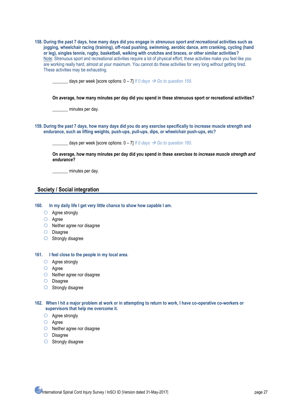| 158. During the past 7 days, how many days did you engage in strenuous sport and recreational activities such as            |
|-----------------------------------------------------------------------------------------------------------------------------|
| jogging, wheelchair racing (training), off-road pushing, swimming, aerobic dance, arm cranking, cycling (hand               |
| or leg), singles tennis, rugby, basketball, walking with crutches and braces, or other similar activities?                  |
| Note: Strenuous sport and recreational activities require a lot of physical effort; these activities make you feel like you |
| are working really hard, almost at your maximum. You cannot do these activities for very long without getting tired.        |
| These activities may be exhausting.                                                                                         |

days per week [score options:  $0 - 7$ ] *If 0 days*  $\rightarrow$  *Go to question 159.* 

**On average, how many minutes per day did you spend in these strenuous sport or recreational activities?**

\_\_\_\_\_\_\_ minutes per day.

**159. During the past 7 days, how many days did you do any exercise specifically to increase muscle strength and endurance, such as lifting weights, push-ups, pull-ups, dips, or wheelchair push-ups, etc?**

days per week [score options:  $0 - 7$ ] *If 0 days*  $\rightarrow$  *Go to question 160.* 

**On average, how many minutes per day did you spend in these** *exercises to increase muscle strength and endurance***?**

\_\_\_\_\_\_\_ minutes per day.

### **Society / Social integration**

**160. In my daily life I get very little chance to show how capable I am.**

- O Agree strongly
- Agree
- O Neither agree nor disagree
- O Disagree
- $\bigcirc$  Strongly disagree

### **161. I feel close to the people in my local area.**

- Agree strongly
- Agree
- O Neither agree nor disagree
- O Disagree
- $O$  Strongly disagree

### **162. When I hit a major problem at work or in attempting to return to work, I have co-operative co-workers or supervisors that help me overcome it.**

- Agree strongly
- Agree
- Neither agree nor disagree
- O Disagree
- $\bigcirc$  Strongly disagree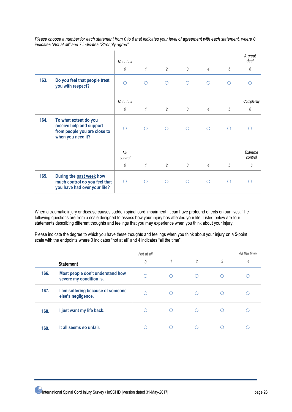*Please choose a number for each statement from 0 to 6 that indicates your level of agreement with each statement, where 0 indicates "Not at all" and 7 indicates "Strongly agree"*

|      |                                                                                                        | Not at all    |              |                |                |                |            | A great<br>deal    |
|------|--------------------------------------------------------------------------------------------------------|---------------|--------------|----------------|----------------|----------------|------------|--------------------|
|      |                                                                                                        | $\theta$      | $\mathcal I$ | $\overline{2}$ | $\mathfrak{Z}$ | $\overline{4}$ | $\sqrt{5}$ | 6                  |
| 163. | Do you feel that people treat<br>you with respect?                                                     | $\bigcirc$    | $\circ$      | $\circ$        | $\circ$        | $\bigcirc$     | ∩          | ∩                  |
|      |                                                                                                        | Not at all    |              |                |                |                |            | Completely         |
|      |                                                                                                        | $\theta$      | $\mathcal I$ | 2              | 3              | $\overline{4}$ | $\sqrt{5}$ | 6                  |
| 164. | To what extent do you<br>receive help and support<br>from people you are close to<br>when you need it? | ∩             | ∩            | $\circ$        | $\circ$        | ∩              | ∩          |                    |
|      |                                                                                                        | No<br>control |              |                |                |                |            | Extreme<br>control |
|      |                                                                                                        | $\theta$      | $\mathcal I$ | $\overline{2}$ | 3              | $\overline{4}$ | $\sqrt{5}$ | 6                  |
| 165. | During the past week how<br>much control do you feel that<br>you have had over your life?              | $\circ$       | Ω            | $\circ$        | $\circ$        | Ω              | Ω          | ∩                  |

When a traumatic injury or disease causes sudden spinal cord impairment, it can have profound effects on our lives. The following questions are from a scale designed to assess how your injury has affected your life. Listed below are four statements describing different thoughts and feelings that you may experience when you think about your injury.

Please indicate the degree to which you have these thoughts and feelings when you think about your injury on a 5-point scale with the endpoints where 0 indicates "not at all" and 4 indicates "all the time".

|      |                                                             | Not at all |   |                |   | All the time |
|------|-------------------------------------------------------------|------------|---|----------------|---|--------------|
|      | <b>Statement</b>                                            | 0          | 1 | $\overline{2}$ | 3 | 4            |
| 166. | Most people don't understand how<br>severe my condition is. | ∩          | ∩ | ∩              |   |              |
| 167. | I am suffering because of someone<br>else's negligence.     | ◠          |   | ∩              |   |              |
| 168. | I just want my life back.                                   | ◠          | ∩ | ∩              |   |              |
| 169. | It all seems so unfair.                                     | ◠          |   |                |   |              |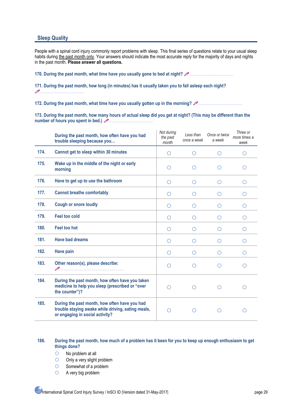### **Sleep Quality**

People with a spinal cord injury commonly report problems with sleep. This final series of questions relate to your usual sleep habits during the past month only. Your answers should indicate the most accurate reply for the majority of days and nights in the past month. **Please answer all questions.**

**170. During the past month, what time have you usually gone to bed at night?** ……………………………

**171. During the past month, how long (in minutes) has it usually taken you to fall asleep each night?**  ……………………………

**172. During the past month, what time have you usually gotten up in the morning?** ……………………………

**173. During the past month, how many hours of actual sleep did you get at night? (This may be different than the**  number of hours you spent in bed.) 2

|      | During the past month, how often have you had<br>trouble sleeping because you                                                          | Not during<br>the past<br>month | Less than<br>once a week | Once or twice<br>a week | Three or<br>more times a<br>week |
|------|----------------------------------------------------------------------------------------------------------------------------------------|---------------------------------|--------------------------|-------------------------|----------------------------------|
| 174. | Cannot get to sleep within 30 minutes                                                                                                  | $\circ$                         | O                        | ∩                       | ∩                                |
| 175. | Wake up in the middle of the night or early<br>morning                                                                                 | $\bigcirc$                      | Ω                        | ◯                       | Ω                                |
| 176. | Have to get up to use the bathroom                                                                                                     | $\circ$                         | O                        | O                       | Ο                                |
| 177. | <b>Cannot breathe comfortably</b>                                                                                                      | $\bigcirc$                      | ◯                        | ◯                       | ◯                                |
| 178. | <b>Cough or snore loudly</b>                                                                                                           | $\circ$                         | O                        | $\circ$                 | O                                |
| 179. | <b>Feel too cold</b>                                                                                                                   | $\bigcirc$                      | O                        | $\bigcirc$              | $\circ$                          |
| 180. | <b>Feel too hot</b>                                                                                                                    | $\bigcirc$                      | O                        | $\bigcirc$              | Ω                                |
| 181. | <b>Have bad dreams</b>                                                                                                                 | $\circ$                         | $\left( \ \right)$       | O                       | O                                |
| 182. | <b>Have pain</b>                                                                                                                       | $\circ$                         | O                        | $\bigcirc$              | Ω                                |
| 183. | Other reason(s), please describe:                                                                                                      | ∩                               | ◯                        | ◯                       | ◯                                |
| 184. | During the past month, how often have you taken<br>medicine to help you sleep (prescribed or "over<br>the counter")?                   | $\bigcirc$                      | ∩                        | ∩                       |                                  |
| 185. | During the past month, how often have you had<br>trouble staying awake while driving, eating meals,<br>or engaging in social activity? | ∩                               | ◯                        | ◯                       |                                  |

### **186. During the past month, how much of a problem has it been for you to keep up enough enthusiasm to get things done?**

- No problem at all
- O Only a very slight problem
- $\circ$  Somewhat of a problem
- A very big problem